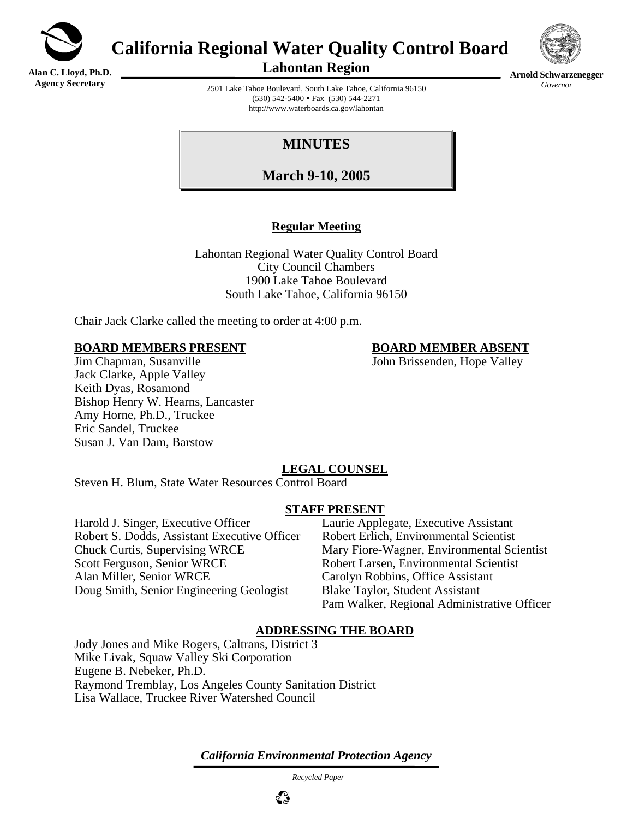

**Alan C. Lloyd, Ph.D. Agency Secretary**

# **California Regional Water Quality Control Board**



**Arnold Schwarzenegger** *Governor* 

**Lahontan Region** 

2501 Lake Tahoe Boulevard, South Lake Tahoe, California 96150  $(530)$  542-5400 • Fax  $(530)$  544-2271 http://www.waterboards.ca.gov/lahontan

## **MINUTES**

**March 9-10, 2005**

### **Regular Meeting**

Lahontan Regional Water Quality Control Board City Council Chambers 1900 Lake Tahoe Boulevard South Lake Tahoe, California 96150

Chair Jack Clarke called the meeting to order at 4:00 p.m.

#### **BOARD MEMBERS PRESENT BOARD MEMBER ABSENT**

#### John Brissenden, Hope Valley John Brissenden, Hope Valley Jack Clarke, Apple Valley Keith Dyas, Rosamond Bishop Henry W. Hearns, Lancaster Amy Horne, Ph.D., Truckee Eric Sandel, Truckee Susan J. Van Dam, Barstow

### **LEGAL COUNSEL**

Steven H. Blum, State Water Resources Control Board

#### **STAFF PRESENT**

Harold J. Singer, Executive Officer Laurie Applegate, Executive Assistant Robert S. Dodds, Assistant Executive Officer Robert Erlich, Environmental Scientist Chuck Curtis, Supervising WRCE Mary Fiore-Wagner, Environmental Scientist Scott Ferguson, Senior WRCE Robert Larsen, Environmental Scientist Alan Miller, Senior WRCE Carolyn Robbins, Office Assistant Doug Smith, Senior Engineering Geologist Blake Taylor, Student Assistant

Pam Walker, Regional Administrative Officer

#### **ADDRESSING THE BOARD**

Jody Jones and Mike Rogers, Caltrans, District 3 Mike Livak, Squaw Valley Ski Corporation Eugene B. Nebeker, Ph.D. Raymond Tremblay, Los Angeles County Sanitation District Lisa Wallace, Truckee River Watershed Council

*California Environmental Protection Agency*

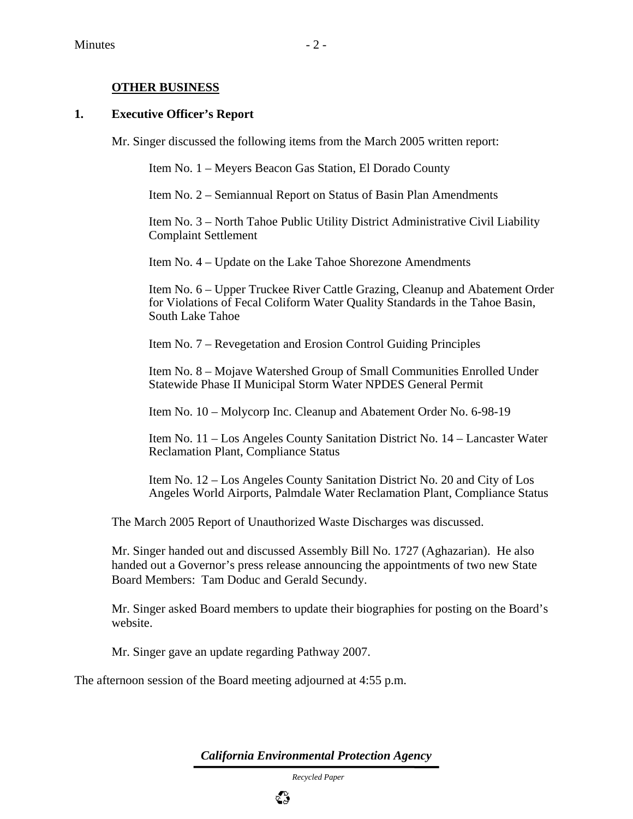#### **OTHER BUSINESS**

#### **1. Executive Officer's Report**

Mr. Singer discussed the following items from the March 2005 written report:

Item No. 1 – Meyers Beacon Gas Station, El Dorado County

Item No. 2 – Semiannual Report on Status of Basin Plan Amendments

Item No. 3 – North Tahoe Public Utility District Administrative Civil Liability Complaint Settlement

Item No. 4 – Update on the Lake Tahoe Shorezone Amendments

Item No. 6 – Upper Truckee River Cattle Grazing, Cleanup and Abatement Order for Violations of Fecal Coliform Water Quality Standards in the Tahoe Basin, South Lake Tahoe

Item No. 7 – Revegetation and Erosion Control Guiding Principles

Item No. 8 – Mojave Watershed Group of Small Communities Enrolled Under Statewide Phase II Municipal Storm Water NPDES General Permit

Item No. 10 – Molycorp Inc. Cleanup and Abatement Order No. 6-98-19

Item No. 11 – Los Angeles County Sanitation District No. 14 – Lancaster Water Reclamation Plant, Compliance Status

Item No. 12 – Los Angeles County Sanitation District No. 20 and City of Los Angeles World Airports, Palmdale Water Reclamation Plant, Compliance Status

The March 2005 Report of Unauthorized Waste Discharges was discussed.

Mr. Singer handed out and discussed Assembly Bill No. 1727 (Aghazarian). He also handed out a Governor's press release announcing the appointments of two new State Board Members: Tam Doduc and Gerald Secundy.

Mr. Singer asked Board members to update their biographies for posting on the Board's website.

Mr. Singer gave an update regarding Pathway 2007.

The afternoon session of the Board meeting adjourned at 4:55 p.m.

*California Environmental Protection Agency*

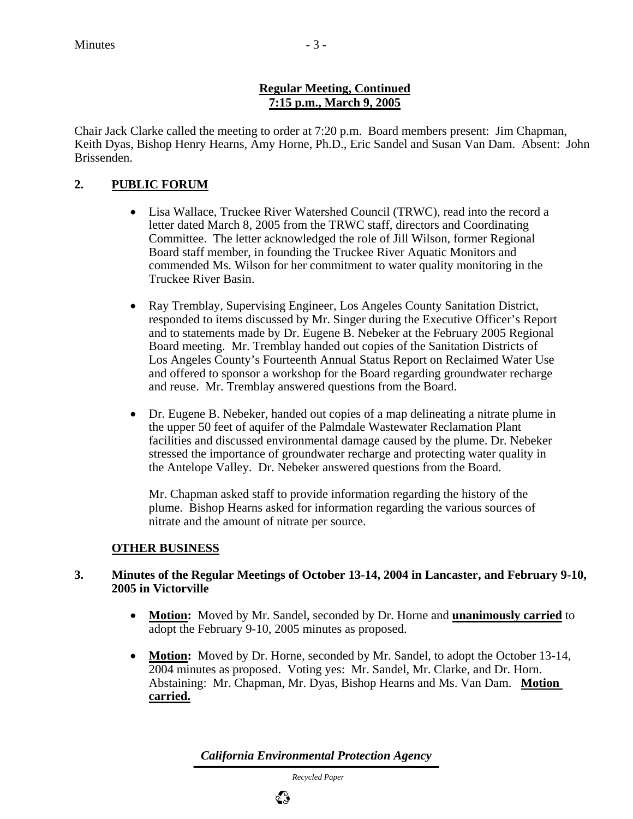#### **Regular Meeting, Continued 7:15 p.m., March 9, 2005**

Chair Jack Clarke called the meeting to order at 7:20 p.m. Board members present: Jim Chapman, Keith Dyas, Bishop Henry Hearns, Amy Horne, Ph.D., Eric Sandel and Susan Van Dam. Absent: John Brissenden.

#### **2. PUBLIC FORUM**

- Lisa Wallace, Truckee River Watershed Council (TRWC), read into the record a letter dated March 8, 2005 from the TRWC staff, directors and Coordinating Committee. The letter acknowledged the role of Jill Wilson, former Regional Board staff member, in founding the Truckee River Aquatic Monitors and commended Ms. Wilson for her commitment to water quality monitoring in the Truckee River Basin.
- Ray Tremblay, Supervising Engineer, Los Angeles County Sanitation District, responded to items discussed by Mr. Singer during the Executive Officer's Report and to statements made by Dr. Eugene B. Nebeker at the February 2005 Regional Board meeting. Mr. Tremblay handed out copies of the Sanitation Districts of Los Angeles County's Fourteenth Annual Status Report on Reclaimed Water Use and offered to sponsor a workshop for the Board regarding groundwater recharge and reuse. Mr. Tremblay answered questions from the Board.
- Dr. Eugene B. Nebeker, handed out copies of a map delineating a nitrate plume in the upper 50 feet of aquifer of the Palmdale Wastewater Reclamation Plant facilities and discussed environmental damage caused by the plume. Dr. Nebeker stressed the importance of groundwater recharge and protecting water quality in the Antelope Valley. Dr. Nebeker answered questions from the Board.

Mr. Chapman asked staff to provide information regarding the history of the plume. Bishop Hearns asked for information regarding the various sources of nitrate and the amount of nitrate per source.

#### **OTHER BUSINESS**

#### **3. Minutes of the Regular Meetings of October 13-14, 2004 in Lancaster, and February 9-10, 2005 in Victorville**

- **Motion:** Moved by Mr. Sandel, seconded by Dr. Horne and **unanimously carried** to adopt the February 9-10, 2005 minutes as proposed.
- **Motion:** Moved by Dr. Horne, seconded by Mr. Sandel, to adopt the October 13-14, 2004 minutes as proposed. Voting yes: Mr. Sandel, Mr. Clarke, and Dr. Horn. Abstaining: Mr. Chapman, Mr. Dyas, Bishop Hearns and Ms. Van Dam. **Motion carried.**

*California Environmental Protection Agency*

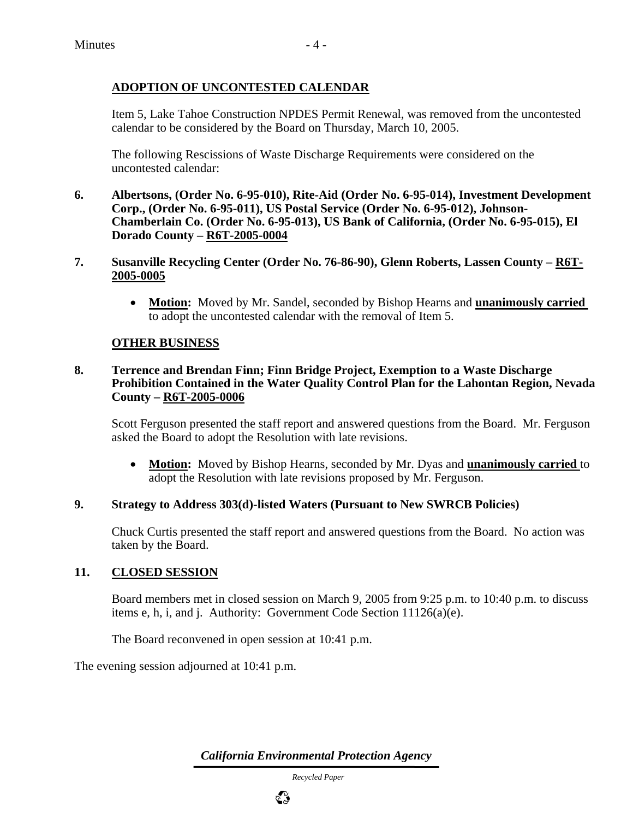#### **ADOPTION OF UNCONTESTED CALENDAR**

Item 5, Lake Tahoe Construction NPDES Permit Renewal, was removed from the uncontested calendar to be considered by the Board on Thursday, March 10, 2005.

The following Rescissions of Waste Discharge Requirements were considered on the uncontested calendar:

- **6. Albertsons, (Order No. 6-95-010), Rite-Aid (Order No. 6-95-014), Investment Development Corp., (Order No. 6-95-011), US Postal Service (Order No. 6-95-012), Johnson-Chamberlain Co. (Order No. 6-95-013), US Bank of California, (Order No. 6-95-015), El Dorado County – R6T-2005-0004**
- **7. Susanville Recycling Center (Order No. 76-86-90), Glenn Roberts, Lassen County R6T-2005-0005**
	- **Motion:** Moved by Mr. Sandel, seconded by Bishop Hearns and **unanimously carried**  to adopt the uncontested calendar with the removal of Item 5.

#### **OTHER BUSINESS**

#### **8. Terrence and Brendan Finn; Finn Bridge Project, Exemption to a Waste Discharge Prohibition Contained in the Water Quality Control Plan for the Lahontan Region, Nevada County – R6T-2005-0006**

Scott Ferguson presented the staff report and answered questions from the Board. Mr. Ferguson asked the Board to adopt the Resolution with late revisions.

• **Motion:** Moved by Bishop Hearns, seconded by Mr. Dyas and **unanimously carried** to adopt the Resolution with late revisions proposed by Mr. Ferguson.

#### **9. Strategy to Address 303(d)-listed Waters (Pursuant to New SWRCB Policies)**

Chuck Curtis presented the staff report and answered questions from the Board. No action was taken by the Board.

#### **11. CLOSED SESSION**

Board members met in closed session on March 9, 2005 from 9:25 p.m. to 10:40 p.m. to discuss items e, h, i, and j. Authority: Government Code Section 11126(a)(e).

The Board reconvened in open session at 10:41 p.m.

The evening session adjourned at 10:41 p.m.

*California Environmental Protection Agency*

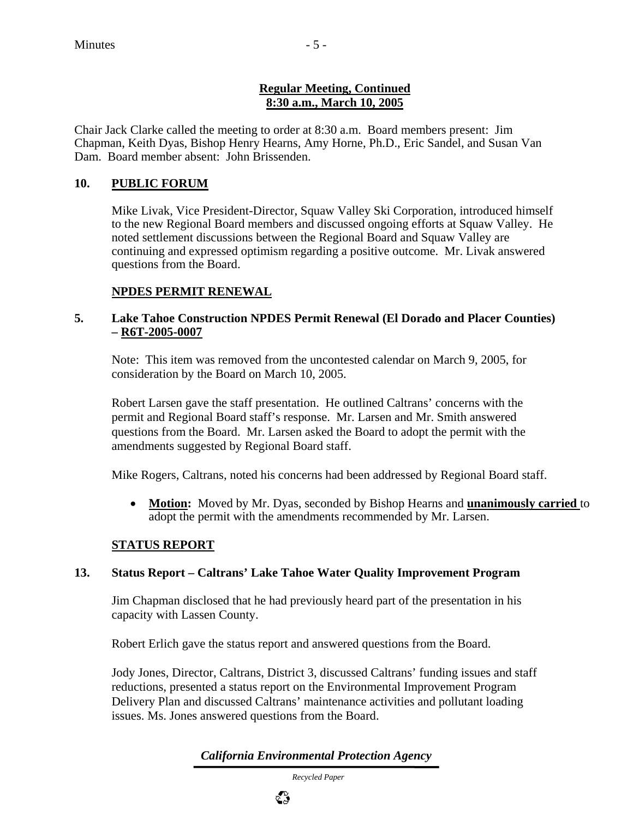#### **Regular Meeting, Continued 8:30 a.m., March 10, 2005**

Chair Jack Clarke called the meeting to order at 8:30 a.m. Board members present: Jim Chapman, Keith Dyas, Bishop Henry Hearns, Amy Horne, Ph.D., Eric Sandel, and Susan Van Dam. Board member absent: John Brissenden.

#### **10. PUBLIC FORUM**

Mike Livak, Vice President-Director, Squaw Valley Ski Corporation, introduced himself to the new Regional Board members and discussed ongoing efforts at Squaw Valley. He noted settlement discussions between the Regional Board and Squaw Valley are continuing and expressed optimism regarding a positive outcome. Mr. Livak answered questions from the Board.

#### **NPDES PERMIT RENEWAL**

#### **5. Lake Tahoe Construction NPDES Permit Renewal (El Dorado and Placer Counties) – R6T-2005-0007**

Note: This item was removed from the uncontested calendar on March 9, 2005, for consideration by the Board on March 10, 2005.

Robert Larsen gave the staff presentation. He outlined Caltrans' concerns with the permit and Regional Board staff's response. Mr. Larsen and Mr. Smith answered questions from the Board. Mr. Larsen asked the Board to adopt the permit with the amendments suggested by Regional Board staff.

Mike Rogers, Caltrans, noted his concerns had been addressed by Regional Board staff.

• **Motion:** Moved by Mr. Dyas, seconded by Bishop Hearns and **unanimously carried** to adopt the permit with the amendments recommended by Mr. Larsen.

#### **STATUS REPORT**

#### **13. Status Report – Caltrans' Lake Tahoe Water Quality Improvement Program**

Jim Chapman disclosed that he had previously heard part of the presentation in his capacity with Lassen County.

Robert Erlich gave the status report and answered questions from the Board.

Jody Jones, Director, Caltrans, District 3, discussed Caltrans' funding issues and staff reductions, presented a status report on the Environmental Improvement Program Delivery Plan and discussed Caltrans' maintenance activities and pollutant loading issues. Ms. Jones answered questions from the Board.

*California Environmental Protection Agency*